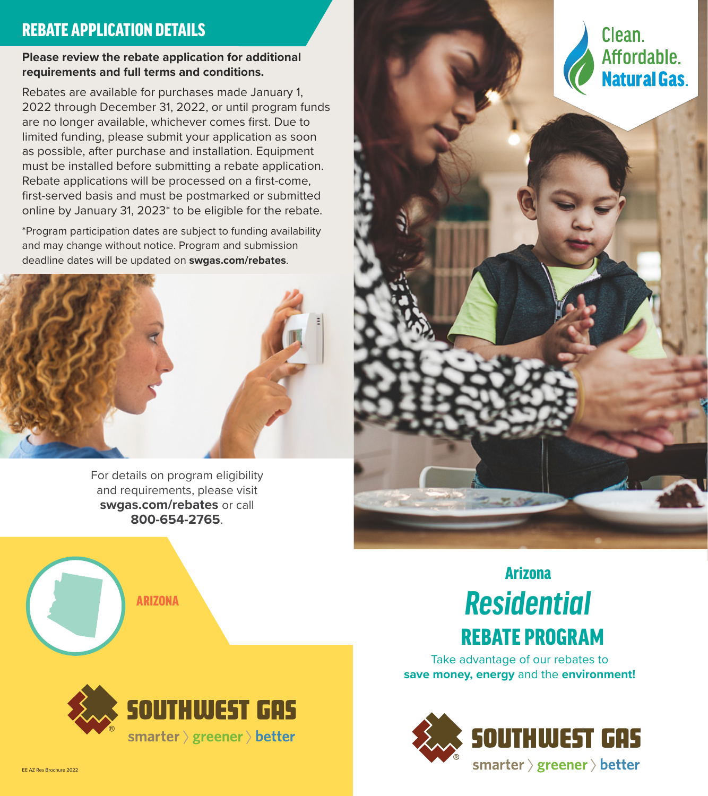### REBATE APPLICATION DETAILS

#### **Please review the rebate application for additional requirements and full terms and conditions.**

Rebates are available for purchases made January 1, 2022 through December 31, 2022, or until program funds are no longer available, whichever comes first. Due to limited funding, please submit your application as soon as possible, after purchase and installation. Equipment must be installed before submitting a rebate application. Rebate applications will be processed on a first-come, first-served basis and must be postmarked or submitted online by January 31, 2023\* to be eligible for the rebate.

\*Program participation dates are subject to funding availability and may change without notice. Program and submission deadline dates will be updated on **swgas.com/rebates**.



For details on program eligibility and requirements, please visit **swgas.com/rebates** or call **800-654-2765**.







## ARIZONA *Residential* Arizona REBATE PROGRAM

Take advantage of our rebates to **save money, energy** and the **environment!**